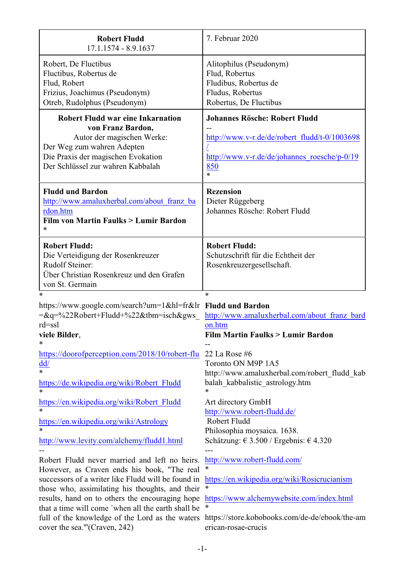| <b>Robert Fludd</b><br>17.1.1574 - 8.9.1637                                                                                                                                                                                                                                                                                                                                                        | 7. Februar 2020                                                                                                                                                                                                        |
|----------------------------------------------------------------------------------------------------------------------------------------------------------------------------------------------------------------------------------------------------------------------------------------------------------------------------------------------------------------------------------------------------|------------------------------------------------------------------------------------------------------------------------------------------------------------------------------------------------------------------------|
| Robert, De Fluctibus<br>Fluctibus, Robertus de<br>Flud, Robert<br>Frizius, Joachimus (Pseudonym)<br>Otreb, Rudolphus (Pseudonym)                                                                                                                                                                                                                                                                   | Alitophilus (Pseudonym)<br>Flud, Robertus<br>Fludibus, Robertus de<br>Fludus, Robertus<br>Robertus, De Fluctibus                                                                                                       |
| <b>Robert Fludd war eine Inkarnation</b><br>von Franz Bardon,<br>Autor der magischen Werke:<br>Der Weg zum wahren Adepten<br>Die Praxis der magischen Evokation<br>Der Schlüssel zur wahren Kabbalah                                                                                                                                                                                               | <b>Johannes Rösche: Robert Fludd</b><br>http://www.v-r.de/de/robert_fludd/t-0/1003698<br>http://www.v-r.de/de/johannes roesche/p-0/19<br>850<br>$\ast$                                                                 |
| <b>Fludd und Bardon</b><br>http://www.amaluxherbal.com/about franz ba<br>rdon.htm<br>Film von Martin Faulks > Lumir Bardon                                                                                                                                                                                                                                                                         | <b>Rezension</b><br>Dieter Rüggeberg<br>Johannes Rösche: Robert Fludd                                                                                                                                                  |
| <b>Robert Fludd:</b><br>Die Verteidigung der Rosenkreuzer<br><b>Rudolf Steiner:</b><br>Über Christian Rosenkreuz und den Grafen<br>von St. Germain                                                                                                                                                                                                                                                 | <b>Robert Fludd:</b><br>Schutzschrift für die Echtheit der<br>Rosenkreuzergesellschaft.                                                                                                                                |
| https://www.google.com/search?um=1&hl=fr&lr Fludd und Bardon<br>$=\&q=\frac{9}{22}$ Robert+Fludd+%22&tbm=isch&gws<br>$rd = ssl$<br>viele Bilder,<br>∗                                                                                                                                                                                                                                              | $\ast$<br>http://www.amaluxherbal.com/about franz bard<br>on.htm<br><b>Film Martin Faulks &gt; Lumir Bardon</b>                                                                                                        |
| https://doorofperception.com/2018/10/robert-flu<br>$\underline{dd}$<br>$\overline{\ast}$<br>https://de.wikipedia.org/wiki/Robert Fludd<br>$\ast$<br>https://en.wikipedia.org/wiki/Robert Fludd<br>$\ast$                                                                                                                                                                                           | 22 La Rose $#6$<br>Toronto ON M9P 1A5<br>http://www.amaluxherbal.com/robert fludd kab<br>balah kabbalistic astrology.htm<br>*<br>Art directory GmbH                                                                    |
| https://en.wikipedia.org/wiki/Astrology<br>$\ast$<br>http://www.levity.com/alchemy/fludd1.html                                                                                                                                                                                                                                                                                                     | http://www.robert-fludd.de/<br>Robert Fludd<br>Philosophia moysaica. 1638.<br>Schätzung: € 3.500 / Ergebnis: € 4.320                                                                                                   |
| Robert Fludd never married and left no heirs.<br>However, as Craven ends his book, "The real<br>successors of a writer like Fludd will be found in<br>those who, assimilating his thoughts, and their<br>results, hand on to others the encouraging hope<br>that a time will come 'when all the earth shall be<br>full of the knowledge of the Lord as the waters<br>cover the sea."'(Craven, 242) | http://www.robert-fludd.com/<br>$\ast$<br>https://en.wikipedia.org/wiki/Rosicrucianism<br>∗<br>https://www.alchemywebsite.com/index.html<br>∗<br>https://store.kobobooks.com/de-de/ebook/the-am<br>erican-rosae-crucis |